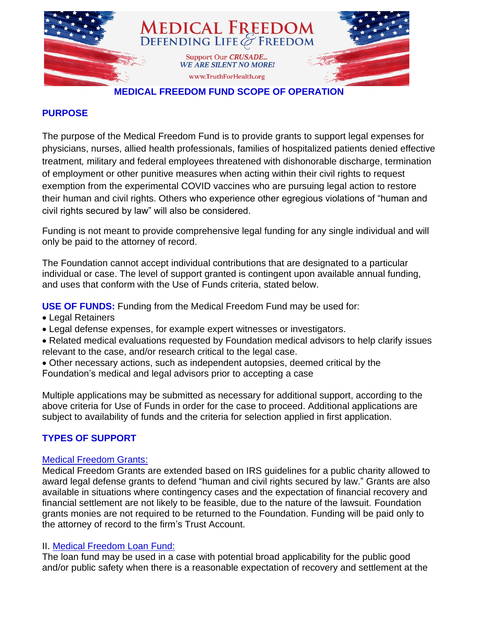

### **MEDICAL FREEDOM FUND SCOPE OF OPERATION**

### **PURPOSE**

The purpose of the Medical Freedom Fund is to provide grants to support legal expenses for physicians, nurses, allied health professionals, families of hospitalized patients denied effective treatment*,* military and federal employees threatened with dishonorable discharge, termination of employment or other punitive measures when acting within their civil rights to request exemption from the experimental COVID vaccines who are pursuing legal action to restore their human and civil rights. Others who experience other egregious violations of "human and civil rights secured by law" will also be considered.

Funding is not meant to provide comprehensive legal funding for any single individual and will only be paid to the attorney of record.

The Foundation cannot accept individual contributions that are designated to a particular individual or case. The level of support granted is contingent upon available annual funding, and uses that conform with the Use of Funds criteria, stated below.

**USE OF FUNDS:** Funding from the Medical Freedom Fund may be used for:

- Legal Retainers
- Legal defense expenses, for example expert witnesses or investigators.
- Related medical evaluations requested by Foundation medical advisors to help clarify issues relevant to the case, and/or research critical to the legal case.
- Other necessary actions, such as independent autopsies, deemed critical by the Foundation's medical and legal advisors prior to accepting a case

Multiple applications may be submitted as necessary for additional support, according to the above criteria for Use of Funds in order for the case to proceed. Additional applications are subject to availability of funds and the criteria for selection applied in first application.

## **TYPES OF SUPPORT**

## Medical Freedom Grants:

Medical Freedom Grants are extended based on IRS guidelines for a public charity allowed to award legal defense grants to defend "human and civil rights secured by law." Grants are also available in situations where contingency cases and the expectation of financial recovery and financial settlement are not likely to be feasible, due to the nature of the lawsuit. Foundation grants monies are not required to be returned to the Foundation. Funding will be paid only to the attorney of record to the firm's Trust Account.

#### II. Medical Freedom Loan Fund:

The loan fund may be used in a case with potential broad applicability for the public good and/or public safety when there is a reasonable expectation of recovery and settlement at the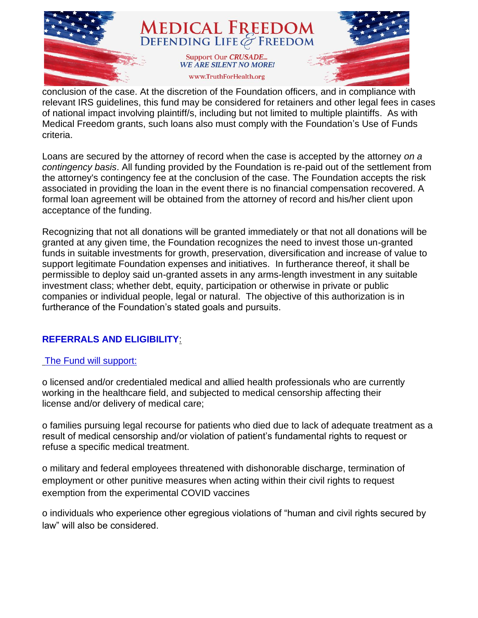

conclusion of the case. At the discretion of the Foundation officers, and in compliance with relevant IRS guidelines, this fund may be considered for retainers and other legal fees in cases of national impact involving plaintiff/s, including but not limited to multiple plaintiffs. As with Medical Freedom grants, such loans also must comply with the Foundation's Use of Funds criteria.

Loans are secured by the attorney of record when the case is accepted by the attorney *on a contingency basis*. All funding provided by the Foundation is re-paid out of the settlement from the attorney's contingency fee at the conclusion of the case. The Foundation accepts the risk associated in providing the loan in the event there is no financial compensation recovered. A formal loan agreement will be obtained from the attorney of record and his/her client upon acceptance of the funding.

Recognizing that not all donations will be granted immediately or that not all donations will be granted at any given time, the Foundation recognizes the need to invest those un-granted funds in suitable investments for growth, preservation, diversification and increase of value to support legitimate Foundation expenses and initiatives. In furtherance thereof, it shall be permissible to deploy said un-granted assets in any arms-length investment in any suitable investment class; whether debt, equity, participation or otherwise in private or public companies or individual people, legal or natural. The objective of this authorization is in furtherance of the Foundation's stated goals and pursuits.

## **REFERRALS AND ELIGIBILITY**:

## The Fund will support:

o licensed and/or credentialed medical and allied health professionals who are currently working in the healthcare field, and subjected to medical censorship affecting their license and/or delivery of medical care;

o families pursuing legal recourse for patients who died due to lack of adequate treatment as a result of medical censorship and/or violation of patient's fundamental rights to request or refuse a specific medical treatment.

o military and federal employees threatened with dishonorable discharge, termination of employment or other punitive measures when acting within their civil rights to request exemption from the experimental COVID vaccines

o individuals who experience other egregious violations of "human and civil rights secured by law" will also be considered.